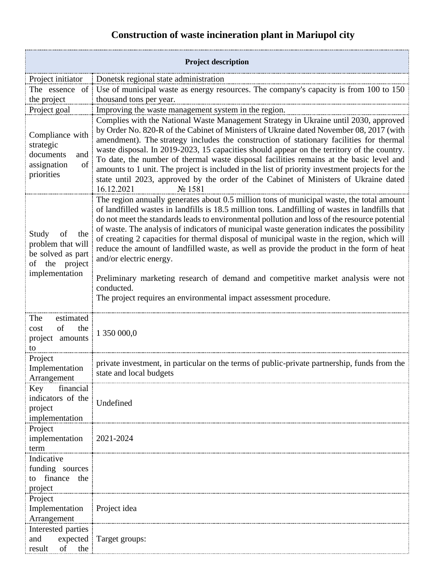## **Construction of waste incineration plant in Mariupol city**

| <b>Project description</b>                                                                       |                                                                                                                                                                                                                                                                                                                                                                                                                                                                                                                                                                                                                                                                                                                                                                                              |
|--------------------------------------------------------------------------------------------------|----------------------------------------------------------------------------------------------------------------------------------------------------------------------------------------------------------------------------------------------------------------------------------------------------------------------------------------------------------------------------------------------------------------------------------------------------------------------------------------------------------------------------------------------------------------------------------------------------------------------------------------------------------------------------------------------------------------------------------------------------------------------------------------------|
| Project initiator                                                                                | Donetsk regional state administration                                                                                                                                                                                                                                                                                                                                                                                                                                                                                                                                                                                                                                                                                                                                                        |
| The essence of                                                                                   | Use of municipal waste as energy resources. The company's capacity is from 100 to 150                                                                                                                                                                                                                                                                                                                                                                                                                                                                                                                                                                                                                                                                                                        |
| the project                                                                                      | thousand tons per year.                                                                                                                                                                                                                                                                                                                                                                                                                                                                                                                                                                                                                                                                                                                                                                      |
| Project goal                                                                                     | Improving the waste management system in the region.                                                                                                                                                                                                                                                                                                                                                                                                                                                                                                                                                                                                                                                                                                                                         |
| Compliance with<br>strategic<br>documents<br>and<br>of<br>assignation<br>priorities              | Complies with the National Waste Management Strategy in Ukraine until 2030, approved<br>by Order No. 820-R of the Cabinet of Ministers of Ukraine dated November 08, 2017 (with<br>amendment). The strategy includes the construction of stationary facilities for thermal<br>waste disposal. In 2019-2023, 15 capacities should appear on the territory of the country.<br>To date, the number of thermal waste disposal facilities remains at the basic level and<br>amounts to 1 unit. The project is included in the list of priority investment projects for the<br>state until 2023, approved by the order of the Cabinet of Ministers of Ukraine dated<br>16.12.2021<br>No 1581                                                                                                       |
| Study<br>of<br>the<br>problem that will<br>be solved as part<br>of the project<br>implementation | The region annually generates about 0.5 million tons of municipal waste, the total amount<br>of landfilled wastes in landfills is 18.5 million tons. Landfilling of wastes in landfills that<br>do not meet the standards leads to environmental pollution and loss of the resource potential<br>of waste. The analysis of indicators of municipal waste generation indicates the possibility<br>of creating 2 capacities for thermal disposal of municipal waste in the region, which will<br>reduce the amount of landfilled waste, as well as provide the product in the form of heat<br>and/or electric energy.<br>Preliminary marketing research of demand and competitive market analysis were not<br>conducted.<br>The project requires an environmental impact assessment procedure. |
| The<br>estimated<br>of<br>the<br>cost<br>project amounts<br>to                                   | 1 350 000,0                                                                                                                                                                                                                                                                                                                                                                                                                                                                                                                                                                                                                                                                                                                                                                                  |
| Project<br>Implementation<br>Arrangement                                                         | private investment, in particular on the terms of public-private partnership, funds from the<br>state and local budgets                                                                                                                                                                                                                                                                                                                                                                                                                                                                                                                                                                                                                                                                      |
| Key<br>financial<br>indicators of the<br>project<br>implementation                               | Undefined                                                                                                                                                                                                                                                                                                                                                                                                                                                                                                                                                                                                                                                                                                                                                                                    |
| Project<br>implementation<br>term                                                                | 2021-2024                                                                                                                                                                                                                                                                                                                                                                                                                                                                                                                                                                                                                                                                                                                                                                                    |
| Indicative<br>funding sources<br>finance the<br>to<br>project                                    |                                                                                                                                                                                                                                                                                                                                                                                                                                                                                                                                                                                                                                                                                                                                                                                              |
| Project<br>Implementation Project idea<br>Arrangement                                            |                                                                                                                                                                                                                                                                                                                                                                                                                                                                                                                                                                                                                                                                                                                                                                                              |
| Interested parties<br>and<br>of<br>result<br>the                                                 | expected   Target groups:                                                                                                                                                                                                                                                                                                                                                                                                                                                                                                                                                                                                                                                                                                                                                                    |